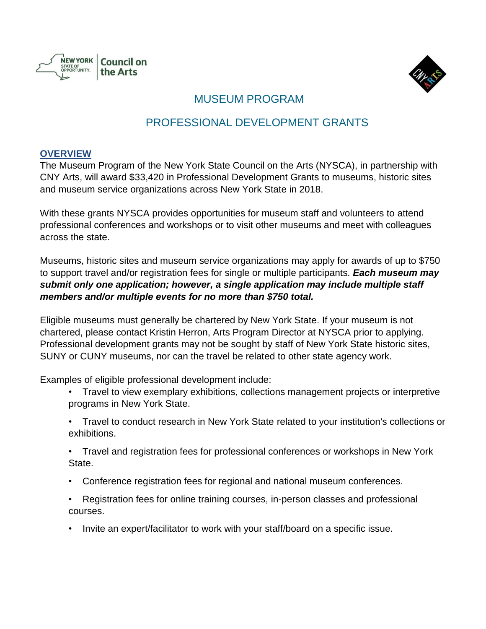



## MUSEUM PROGRAM

## PROFESSIONAL DEVELOPMENT GRANTS

#### **OVERVIEW**

The Museum Program of the New York State Council on the Arts (NYSCA), in partnership with CNY Arts, will award \$33,420 in Professional Development Grants to museums, historic sites and museum service organizations across New York State in 2018.

With these grants NYSCA provides opportunities for museum staff and volunteers to attend professional conferences and workshops or to visit other museums and meet with colleagues across the state.

Museums, historic sites and museum service organizations may apply for awards of up to \$750 to support travel and/or registration fees for single or multiple participants. *Each museum may submit only one application; however, a single application may include multiple staff members and/or multiple events for no more than \$750 total.*

Eligible museums must generally be chartered by New York State. If your museum is not chartered, please contact Kristin Herron, Arts Program Director at NYSCA prior to applying. Professional development grants may not be sought by staff of New York State historic sites, SUNY or CUNY museums, nor can the travel be related to other state agency work.

Examples of eligible professional development include:

- Travel to view exemplary exhibitions, collections management projects or interpretive programs in New York State.
- Travel to conduct research in New York State related to your institution's collections or exhibitions.
- Travel and registration fees for professional conferences or workshops in New York State.
- Conference registration fees for regional and national museum conferences.
- Registration fees for online training courses, in-person classes and professional courses.
- Invite an expert/facilitator to work with your staff/board on a specific issue.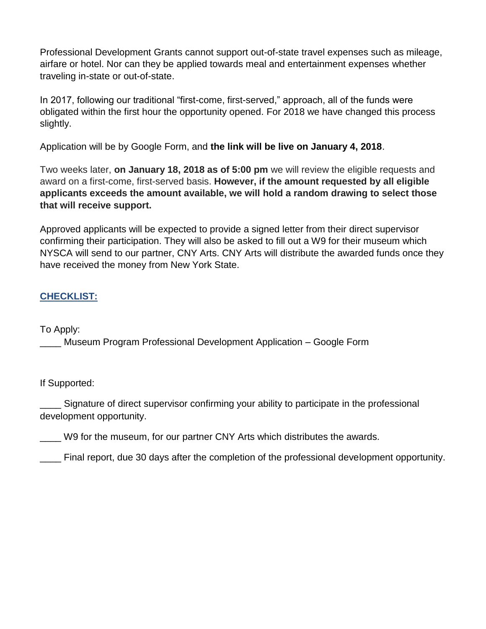Professional Development Grants cannot support out-of-state travel expenses such as mileage, airfare or hotel. Nor can they be applied towards meal and entertainment expenses whether traveling in-state or out-of-state.

In 2017, following our traditional "first-come, first-served," approach, all of the funds were obligated within the first hour the opportunity opened. For 2018 we have changed this process slightly.

Application will be by Google Form, and **the link will be live on January 4, 2018**.

Two weeks later, on January 18, 2018 as of 5:00 pm we will review the eligible requests and award on a first-come, first-served basis. *However, if the amount requested by all eligible applicants exceeds the amount available, we will hold a random drawing to select those that will receive support.*

Approved applicants will be expected to provide a signed letter from their direct supervisor confirming their participation. They will also be asked to fill out a W9 for their museum which NYSCA will send to our partner, CNY Arts. CNY Arts will distribute the awarded funds once they have received the money from New York State.

### **CHECKLIST:**

To Apply:

\_\_\_\_ Museum Program Professional Development Application – Google Form

If Supported:

Signature of direct supervisor confirming your ability to participate in the professional development opportunity.

W9 for the museum, for our partner CNY Arts which distributes the awards.

\_\_\_\_ Final report, due 30 days after the completion of the professional development opportunity.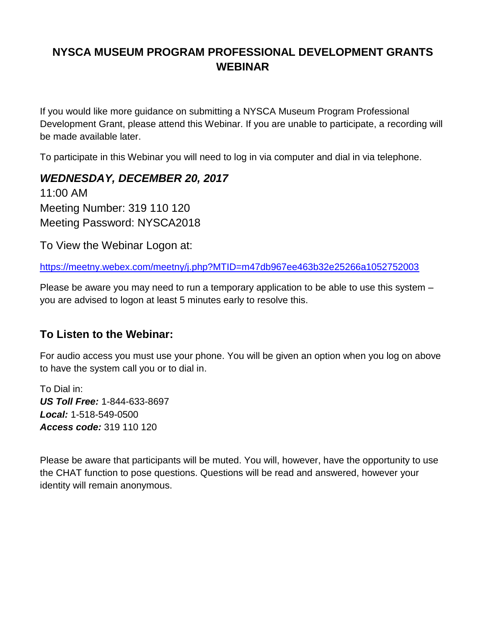# **NYSCA MUSEUM PROGRAM PROFESSIONAL DEVELOPMENT GRANTS WEBINAR**

If you would like more guidance on submitting a NYSCA Museum Program Professional Development Grant, please attend this Webinar. If you are unable to participate, a recording will be made available later.

To participate in this Webinar you will need to log in via computer and dial in via telephone.

*WEDNESDAY, DECEMBER 20, 2017* 11:00 AM Meeting Number: 319 110 120 Meeting Password: NYSCA2018

To View the Webinar Logon at:

<https://meetny.webex.com/meetny/j.php?MTID=m47db967ee463b32e25266a1052752003>

Please be aware you may need to run a temporary application to be able to use this system – you are advised to logon at least 5 minutes early to resolve this.

### **To Listen to the Webinar:**

For audio access you must use your phone. You will be given an option when you log on above to have the system call you or to dial in.

To Dial in: *US Toll Free:* 1-844-633-8697 *Local:* 1-518-549-0500 *Access code:* 319 110 120

Please be aware that participants will be muted. You will, however, have the opportunity to use the CHAT function to pose questions. Questions will be read and answered, however your identity will remain anonymous.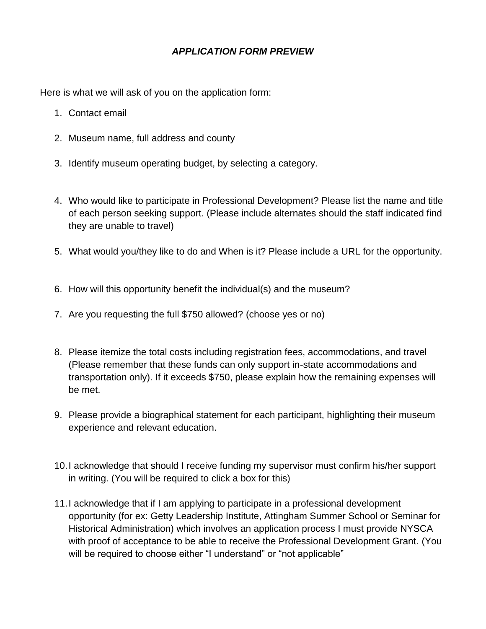#### *APPLICATION FORM PREVIEW*

Here is what we will ask of you on the application form:

- 1. Contact email
- 2. Museum name, full address and county
- 3. Identify museum operating budget, by selecting a category.
- 4. Who would like to participate in Professional Development? Please list the name and title of each person seeking support. (Please include alternates should the staff indicated find they are unable to travel)
- 5. What would you/they like to do and When is it? Please include a URL for the opportunity.
- 6. How will this opportunity benefit the individual(s) and the museum?
- 7. Are you requesting the full \$750 allowed? (choose yes or no)
- 8. Please itemize the total costs including registration fees, accommodations, and travel (Please remember that these funds can only support in-state accommodations and transportation only). If it exceeds \$750, please explain how the remaining expenses will be met.
- 9. Please provide a biographical statement for each participant, highlighting their museum experience and relevant education.
- 10.I acknowledge that should I receive funding my supervisor must confirm his/her support in writing. (You will be required to click a box for this)
- 11.I acknowledge that if I am applying to participate in a professional development opportunity (for ex: Getty Leadership Institute, Attingham Summer School or Seminar for Historical Administration) which involves an application process I must provide NYSCA with proof of acceptance to be able to receive the Professional Development Grant. (You will be required to choose either "I understand" or "not applicable"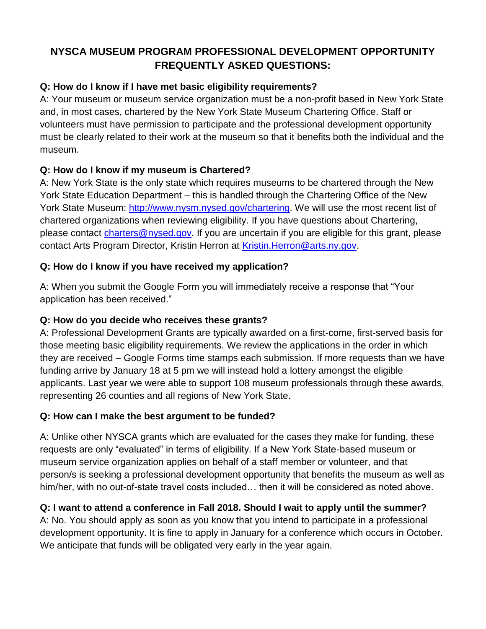## **NYSCA MUSEUM PROGRAM PROFESSIONAL DEVELOPMENT OPPORTUNITY FREQUENTLY ASKED QUESTIONS:**

#### **Q: How do I know if I have met basic eligibility requirements?**

A: Your museum or museum service organization must be a non-profit based in New York State and, in most cases, chartered by the New York State Museum Chartering Office. Staff or volunteers must have permission to participate and the professional development opportunity must be clearly related to their work at the museum so that it benefits both the individual and the museum.

#### **Q: How do I know if my museum is Chartered?**

A: New York State is the only state which requires museums to be chartered through the New York State Education Department – this is handled through the Chartering Office of the New York State Museum: [http://www.nysm.nysed.gov/chartering.](http://www.nysm.nysed.gov/chartering) We will use the most recent list of chartered organizations when reviewing eligibility. If you have questions about Chartering, please contact [charters@nysed.gov.](mailto:charters@nysed.gov) If you are uncertain if you are eligible for this grant, please contact Arts Program Director, Kristin Herron at [Kristin.Herron@arts.ny.gov.](mailto:Kristin.Herron@arts.ny.gov)

### **Q: How do I know if you have received my application?**

A: When you submit the Google Form you will immediately receive a response that "Your application has been received."

#### **Q: How do you decide who receives these grants?**

A: Professional Development Grants are typically awarded on a first-come, first-served basis for those meeting basic eligibility requirements. We review the applications in the order in which they are received – Google Forms time stamps each submission. If more requests than we have funding arrive by January 18 at 5 pm we will instead hold a lottery amongst the eligible applicants. Last year we were able to support 108 museum professionals through these awards, representing 26 counties and all regions of New York State.

#### **Q: How can I make the best argument to be funded?**

A: Unlike other NYSCA grants which are evaluated for the cases they make for funding, these requests are only "evaluated" in terms of eligibility. If a New York State-based museum or museum service organization applies on behalf of a staff member or volunteer, and that person/s is seeking a professional development opportunity that benefits the museum as well as him/her, with no out-of-state travel costs included… then it will be considered as noted above.

### **Q: I want to attend a conference in Fall 2018. Should I wait to apply until the summer?**

A: No. You should apply as soon as you know that you intend to participate in a professional development opportunity. It is fine to apply in January for a conference which occurs in October. We anticipate that funds will be obligated very early in the year again.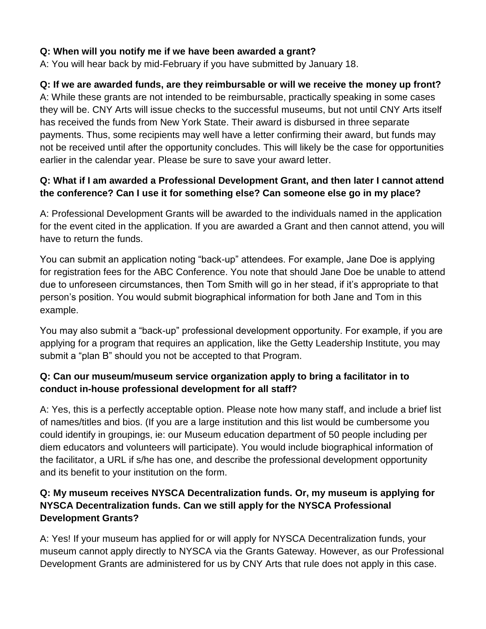#### **Q: When will you notify me if we have been awarded a grant?**

A: You will hear back by mid-February if you have submitted by January 18.

### **Q: If we are awarded funds, are they reimbursable or will we receive the money up front?**

A: While these grants are not intended to be reimbursable, practically speaking in some cases they will be. CNY Arts will issue checks to the successful museums, but not until CNY Arts itself has received the funds from New York State. Their award is disbursed in three separate payments. Thus, some recipients may well have a letter confirming their award, but funds may not be received until after the opportunity concludes. This will likely be the case for opportunities earlier in the calendar year. Please be sure to save your award letter.

#### **Q: What if I am awarded a Professional Development Grant, and then later I cannot attend the conference? Can I use it for something else? Can someone else go in my place?**

A: Professional Development Grants will be awarded to the individuals named in the application for the event cited in the application. If you are awarded a Grant and then cannot attend, you will have to return the funds.

You can submit an application noting "back-up" attendees. For example, Jane Doe is applying for registration fees for the ABC Conference. You note that should Jane Doe be unable to attend due to unforeseen circumstances, then Tom Smith will go in her stead, if it's appropriate to that person's position. You would submit biographical information for both Jane and Tom in this example.

You may also submit a "back-up" professional development opportunity. For example, if you are applying for a program that requires an application, like the Getty Leadership Institute, you may submit a "plan B" should you not be accepted to that Program.

### **Q: Can our museum/museum service organization apply to bring a facilitator in to conduct in-house professional development for all staff?**

A: Yes, this is a perfectly acceptable option. Please note how many staff, and include a brief list of names/titles and bios. (If you are a large institution and this list would be cumbersome you could identify in groupings, ie: our Museum education department of 50 people including per diem educators and volunteers will participate). You would include biographical information of the facilitator, a URL if s/he has one, and describe the professional development opportunity and its benefit to your institution on the form.

### **Q: My museum receives NYSCA Decentralization funds. Or, my museum is applying for NYSCA Decentralization funds. Can we still apply for the NYSCA Professional Development Grants?**

A: Yes! If your museum has applied for or will apply for NYSCA Decentralization funds, your museum cannot apply directly to NYSCA via the Grants Gateway. However, as our Professional Development Grants are administered for us by CNY Arts that rule does not apply in this case.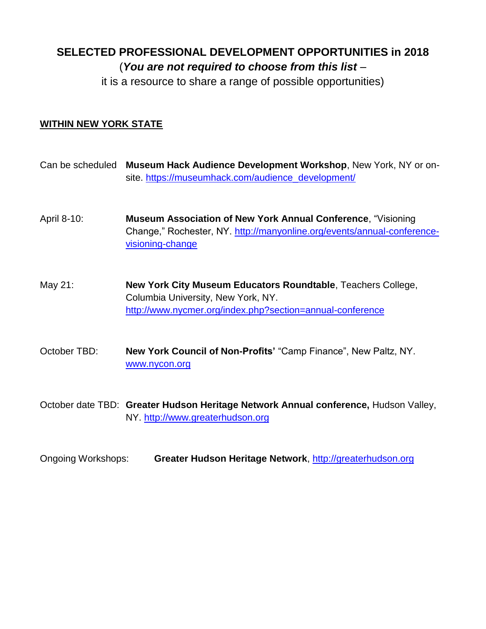# **SELECTED PROFESSIONAL DEVELOPMENT OPPORTUNITIES in 2018** (*You are not required to choose from this list* –

it is a resource to share a range of possible opportunities)

#### **WITHIN NEW YORK STATE**

- Can be scheduled **Museum Hack Audience Development Workshop**, New York, NY or onsite. [https://museumhack.com/audience\\_development/](https://museumhack.com/audience_development/)
- April 8-10: **Museum Association of New York Annual Conference**, "Visioning Change," Rochester, NY. [http://manyonline.org/events/annual-conference](http://manyonline.org/events/annual-conference-visioning-change)[visioning-change](http://manyonline.org/events/annual-conference-visioning-change)
- May 21: **New York City Museum Educators Roundtable**, Teachers College, Columbia University, New York, NY. http://www.nycmer.org/index.php?section=annual-conference
- October TBD: **New York Council of Non-Profits'** "Camp Finance", New Paltz, NY. [www.nycon.org](http://www.nycon.org/)
- October date TBD: **Greater Hudson Heritage Network Annual conference,** Hudson Valley, NY. [http://www.greaterhudson.org](http://www.greaterhudson.org/)
- Ongoing Workshops: **Greater Hudson Heritage Network**, [http://greaterhudson.org](http://greaterhudson.org/)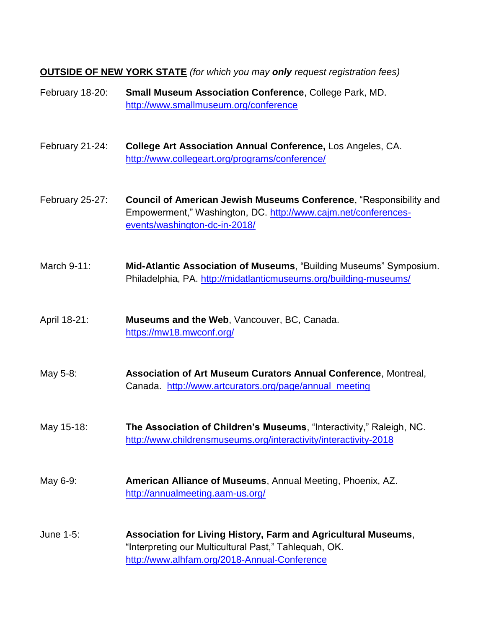**OUTSIDE OF NEW YORK STATE** *(for which you may only request registration fees)*

February 18-20: **Small Museum Association Conference**, College Park, MD. <http://www.smallmuseum.org/conference>

February 21-24: **College Art Association Annual Conference,** Los Angeles, CA. <http://www.collegeart.org/programs/conference/>

February 25-27: **Council of American Jewish Museums Conference**, "Responsibility and Empowerment," Washington, DC. [http://www.cajm.net/conferences](http://www.cajm.net/conferences-events/washington-dc-in-2018/)[events/washington-dc-in-2018/](http://www.cajm.net/conferences-events/washington-dc-in-2018/)

- March 9-11: **Mid-Atlantic Association of Museums**, "Building Museums" Symposium. Philadelphia, PA.<http://midatlanticmuseums.org/building-museums/>
- April 18-21: **Museums and the Web**, Vancouver, BC, Canada. <https://mw18.mwconf.org/>
- May 5-8: **Association of Art Museum Curators Annual Conference**, Montreal, Canada. [http://www.artcurators.org/page/annual\\_meeting](http://www.artcurators.org/page/annual_meeting)
- May 15-18: **The Association of Children's Museums**, "Interactivity," Raleigh, NC. <http://www.childrensmuseums.org/interactivity/interactivity-2018>
- May 6-9: **American Alliance of Museums**, Annual Meeting, Phoenix, AZ. <http://annualmeeting.aam-us.org/>
- June 1-5: **Association for Living History, Farm and Agricultural Museums**, "Interpreting our Multicultural Past," Tahlequah, OK. <http://www.alhfam.org/2018-Annual-Conference>